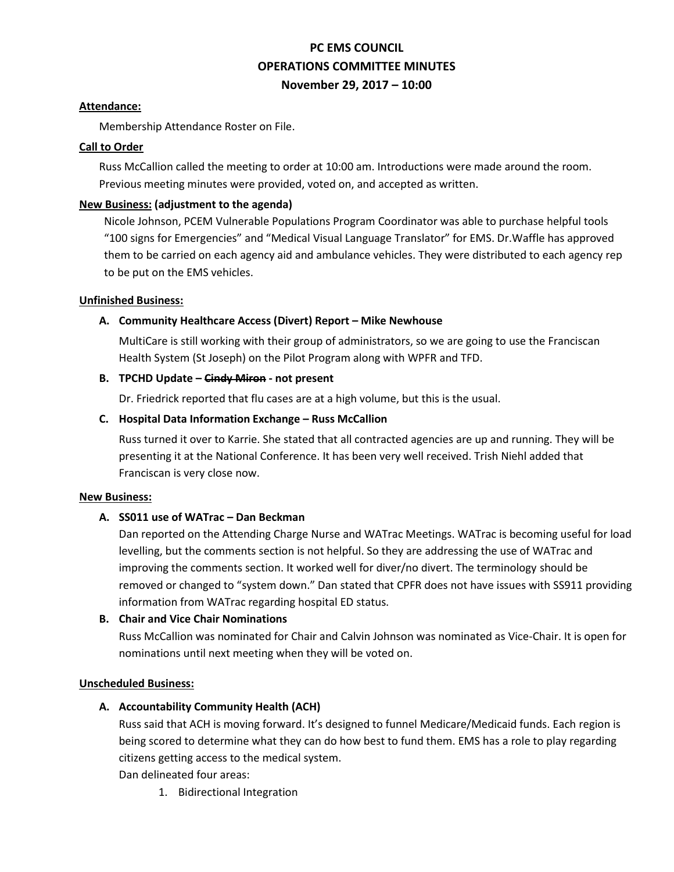# **PC EMS COUNCIL OPERATIONS COMMITTEE MINUTES November 29, 2017 – 10:00**

#### **Attendance:**

Membership Attendance Roster on File.

#### **Call to Order**

Russ McCallion called the meeting to order at 10:00 am. Introductions were made around the room. Previous meeting minutes were provided, voted on, and accepted as written.

## **New Business: (adjustment to the agenda)**

Nicole Johnson, PCEM Vulnerable Populations Program Coordinator was able to purchase helpful tools "100 signs for Emergencies" and "Medical Visual Language Translator" for EMS. Dr.Waffle has approved them to be carried on each agency aid and ambulance vehicles. They were distributed to each agency rep to be put on the EMS vehicles.

### **Unfinished Business:**

# **A. Community Healthcare Access (Divert) Report – Mike Newhouse**

MultiCare is still working with their group of administrators, so we are going to use the Franciscan Health System (St Joseph) on the Pilot Program along with WPFR and TFD.

## **B. TPCHD Update – Cindy Miron - not present**

Dr. Friedrick reported that flu cases are at a high volume, but this is the usual.

## **C. Hospital Data Information Exchange – Russ McCallion**

Russ turned it over to Karrie. She stated that all contracted agencies are up and running. They will be presenting it at the National Conference. It has been very well received. Trish Niehl added that Franciscan is very close now.

#### **New Business:**

# **A. SS011 use of WATrac – Dan Beckman**

Dan reported on the Attending Charge Nurse and WATrac Meetings. WATrac is becoming useful for load levelling, but the comments section is not helpful. So they are addressing the use of WATrac and improving the comments section. It worked well for diver/no divert. The terminology should be removed or changed to "system down." Dan stated that CPFR does not have issues with SS911 providing information from WATrac regarding hospital ED status.

#### **B. Chair and Vice Chair Nominations**

Russ McCallion was nominated for Chair and Calvin Johnson was nominated as Vice-Chair. It is open for nominations until next meeting when they will be voted on.

#### **Unscheduled Business:**

# **A. Accountability Community Health (ACH)**

Russ said that ACH is moving forward. It's designed to funnel Medicare/Medicaid funds. Each region is being scored to determine what they can do how best to fund them. EMS has a role to play regarding citizens getting access to the medical system.

Dan delineated four areas:

1. Bidirectional Integration